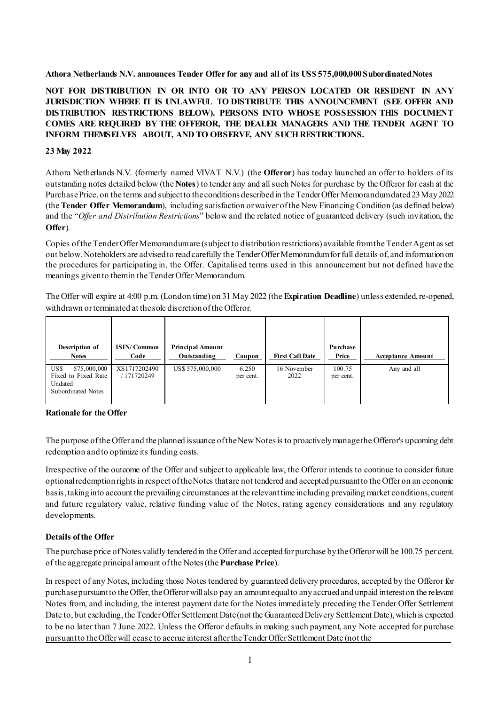#### **Athora Netherlands N.V. announces Tender Offer for any and all of its US\$ 575,000,000 Subordinated Notes**

**NOT FOR DISTRIBUTION IN OR INTO OR TO ANY PERSON LOCATED OR RESIDENT IN ANY JURISDICTION WHERE IT IS UNLAWFUL TO DISTRIBUTE THIS ANNOUNCEMENT (SEE OFFER AND DISTRIBUTION RESTRICTIONS BELOW). PERSONS INTO WHOSE POSSESSION THIS DOCUMENT COMES ARE REQUIRED BY THE OFFEROR, THE DEALER MANAGERS AND THE TENDER AGENT TO INFORM THEMSELVES ABOUT, AND TO OBSERVE, ANY SUCH RESTRICTIONS.**

#### **23 May 2022**

Athora Netherlands N.V. (formerly named VIVAT N.V.) (the **Offeror**) has today launched an offer to holders of its outstanding notes detailed below (the **Notes**) to tender any and allsuch Notes for purchase by the Offeror for cash at the PurchasePrice, on the terms and subjectto theconditions describedin the TenderOfferMemorandumdated23May 2022 (the **Tender Offer Memorandum**), including satisfaction orwaiver ofthe New Financing Condition (as defined below) and the "*Offer and Distribution Restrictions*" below and the related notice of guaranteed delivery (such invitation, the **Offer**)*.*

Copies of the Tender Offer Memorandum are (subject to distribution restrictions) available from the Tender Agent as set out below. Noteholders are advised to read carefully the Tender Offer Memorandum for full details of, and information on the procedures for participating in, the Offer. Capitalised terms used in this announcement but not defined have the meanings given to them in the Tender Offer Memorandum.

The Offer will expire at 4:00 p.m. (London time) on 31 May 2022 (the **Expiration Deadline**) unless extended, re-opened, withdrawn or terminated at the sole discretion of the Offeror.

| Description of<br><b>Notes</b>                                                     | <b>ISIN/Common</b><br>Code | <b>Principal Amount</b><br>Outstanding | Coupon             | <b>First Call Date</b> | Purchase<br>Price   | <b>Acceptance Amount</b> |
|------------------------------------------------------------------------------------|----------------------------|----------------------------------------|--------------------|------------------------|---------------------|--------------------------|
| US\$<br>575,000,000<br>Fixed to Fixed Rate<br>Undated<br><b>Subordinated Notes</b> | XS1717202490<br>171720249  | US\$ 575,000,000                       | 6.250<br>per cent. | 16 November<br>2022    | 100.75<br>per cent. | Any and all              |

#### **Rationale for the Offer**

The purpose of the Offer and the planned issuance of the New Notes is to proactively manage the Offeror's upcoming debt redemption and to optimize its funding costs.

Irrespective of the outcome of the Offer and subject to applicable law, the Offeror intends to continue to consider future optional redemption rights in respect of the Notes that are not tendered and accepted pursuant to the Offer on an economic basis, taking into account the prevailing circumstances at the relevant time including prevailing market conditions, current and future regulatory value, relative funding value of the Notes, rating agency considerations and any regulatory developments.

#### **Details ofthe Offer**

The purchase price of Notes validly tendered in the Offer and accepted for purchase by the Offeror will be 100.75 per cent. of the aggregate principal amount of the Notes (the **Purchase Price**).

In respect of any Notes, including those Notes tendered by guaranteed delivery procedures, accepted by the Offeror for purchase pursuant to the Offer, the Offeror will also pay an amount equal to any accrued and unpaid interest on the relevant Notes from, and including, the interest payment date for the Notes immediately preceding the Tender Offer Settlement Date to, but excluding, the Tender Offer Settlement Date (not the Guaranteed Delivery Settlement Date), which is expected to be no later than 7 June 2022. Unless the Offeror defaults in making such payment, any Note accepted for purchase pursuant to the Offer will cease to accrue interest after the Tender Offer Settlement Date (not the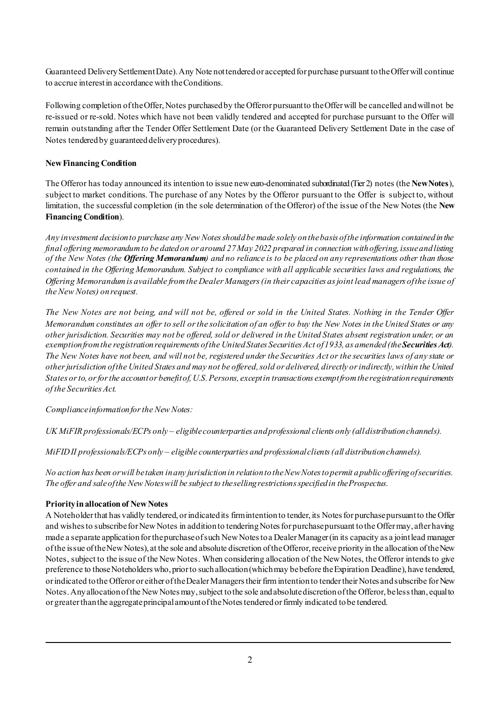Guaranteed Delivery Settlement Date). Any Note not tendered or accepted for purchase pursuant to the Offer will continue to accrue interest in accordance with the Conditions.

Following completion of the Offer, Notes purchased by the Offeror pursuant to the Offer will be cancelled and will not be re-issued or re-sold. Notes which have not been validly tendered and accepted for purchase pursuant to the Offer will remain outstanding after the Tender Offer Settlement Date (or the Guaranteed Delivery Settlement Date in the case of Notes tendered by guaranteed delivery procedures).

# **NewFinancing Condition**

The Offeror has today announced its intention to issue neweuro-denominated subordinated (Tier 2) notes (the **NewNotes**), subject to market conditions. The purchase of any Notes by the Offeror pursuant to the Offer is subject to, without limitation, the successful completion (in the sole determination of the Offeror) of the issue of the New Notes (the **New Financing Condition**).

*Any investment decision to purchase any New Notes should be made solely on the basis of the information contained in the final offering memorandum to be dated on or around 27May 2022 prepared in connection with offering, issue and listing of the New Notes (the Offering Memorandum) and no reliance is to be placed on any representations other than those contained in the Offering Memorandum. Subject to compliance with all applicable securities laws and regulations, the Offering Memorandum is available from the Dealer Managers (in their capacities as joint lead managers of the issue of the New Notes) on request.*

*The New Notes are not being, and will not be, offered or sold in the United States. Nothing in the Tender Offer Memorandum constitutes an offer to sell or the solicitation of an offer to buy the New Notes in the United States or any other jurisdiction. Securities may not be offered, sold or delivered in the United States absent registration under, or an exemption from the registration requirements of the United States Securities Act of 1933, as amended (the Securities Act). The New Notes have not been, and will not be, registered under the Securities Act or the securities laws of any state or other jurisdiction of the United States and may not be offered, sold or delivered, directly or indirectly, within the United States or to, or for the account or benefit of, U.S. Persons, except in transactions exempt from the registration requirements of the Securities Act.*

*Complianceinformationforthe New Notes:*

*UK MiFIR professionals/ECPs only – eligiblecounterparties andprofessional clients only (alldistributionchannels).* 

*MiFID II professionals/ECPs only – eligible counterparties and professional clients (all distribution channels).*

*No action has been orwill betaken inany jurisdictionin relationtotheNewNotestopermit apublicofferingofsecurities. The offer and saleofthe New Noteswill be subject to thesellingrestrictionsspecifiedin theProspectus.*

#### **Priorityinallocationof NewNotes**

A Noteholder that has validly tendered, or indicated its firm intention to tender, its Notes for purchase pursuant to the Offer and wishes to subscribe for New Notes in addition to tendering Notes for purchase pursuant to the Offermay, after having made a separate application for the purchase of such New Notes to a Dealer Manager (in its capacity as a joint lead manager of the issue of the New Notes), at the sole and absolute discretion of the Offeror, receive priority in the allocation of the New Notes, subject to the issue of the NewNotes. When considering allocation of the NewNotes, the Offeror intendsto give preference to those Noteholders who, prior to such allocation (which may be before the Expiration Deadline), have tendered, or indicated to the Offeror or either of the Dealer Managers their firm intention to tender their Notes and subscribe for New Notes.Anyallocationofthe NewNotesmay,subject tothe sole andabsolutediscretionofthe Offeror, belessthan, equalto or greaterthanthe aggregateprincipalamountoftheNotestenderedorfirmly indicated tobe tendered.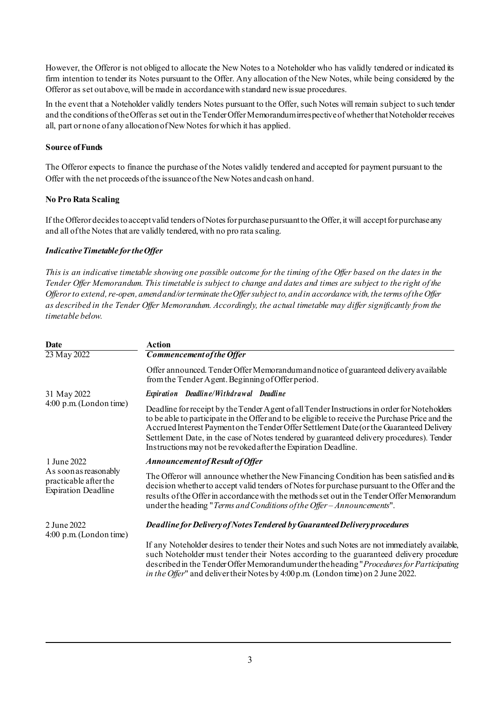However, the Offeror is not obliged to allocate the New Notes to a Noteholder who has validly tendered or indicated its firm intention to tender its Notes pursuant to the Offer. Any allocation of the New Notes, while being considered by the Offeror as set out above, will be made in accordance with standard new issue procedures.

In the event that a Noteholder validly tenders Notes pursuant to the Offer, such Notes will remain subject to such tender and the conditions of the Offer as set out in the Tender Offer Memorandum irrespective of whether that Noteholder receives all, part or none of any allocation of New Notes for which it has applied.

# **Source** of Funds

The Offeror expects to finance the purchase of the Notes validly tendered and accepted for payment pursuant to the Offer with the net proceeds of the issuance of the New Notes and cash on hand.

# **No Pro Rata Scaling**

If the Offeror decides to accept valid tenders of Notes for purchase pursuant to the Offer, it will accept for purchase any and all of the Notes that are validly tendered, with no pro rata scaling.

# *IndicativeTimetable fortheOffer*

*This is an indicative timetable showing one possible outcome for the timing of the Offer based on the dates in the Tender Offer Memorandum. This timetable is subject to change and dates and times are subject to the right of the Offeror to extend, re-open, amend and/or terminate the Offer subject to, and in accordance with, the terms of the Offer as described in the Tender Offer Memorandum. Accordingly, the actual timetable may differ significantly from the timetable below.*

| Date                                                                         | Action                                                                                                                                                                                                                                                                                                                                                                                                                                                     |  |  |  |  |
|------------------------------------------------------------------------------|------------------------------------------------------------------------------------------------------------------------------------------------------------------------------------------------------------------------------------------------------------------------------------------------------------------------------------------------------------------------------------------------------------------------------------------------------------|--|--|--|--|
| 23 May 2022                                                                  | Commencement of the Offer                                                                                                                                                                                                                                                                                                                                                                                                                                  |  |  |  |  |
|                                                                              | Offer announced. Tender Offer Memorandum and notice of guaranteed delivery available<br>from the Tender Agent. Beginning of Offer period.                                                                                                                                                                                                                                                                                                                  |  |  |  |  |
| 31 May 2022                                                                  | Expiration Deadline/Withdrawal Deadline                                                                                                                                                                                                                                                                                                                                                                                                                    |  |  |  |  |
| $4:00 \text{ p.m.}$ (London time)                                            | Deadline for receipt by the Tender Agent of all Tender Instructions in order for Noteholders<br>to be able to participate in the Offer and to be eligible to receive the Purchase Price and the<br>Accrued Interest Payment on the Tender Offer Settlement Date (or the Guaranteed Delivery<br>Settlement Date, in the case of Notes tendered by guaranteed delivery procedures). Tender<br>Instructions may not be revoked after the Expiration Deadline. |  |  |  |  |
| 1 June 2022                                                                  | Announcement of Result of Offer                                                                                                                                                                                                                                                                                                                                                                                                                            |  |  |  |  |
| As soon as reasonably<br>practicable after the<br><b>Expiration Deadline</b> | The Offeror will announce whether the New Financing Condition has been satisfied and its<br>decision whether to accept valid tenders of Notes for purchase pursuant to the Offer and the<br>results of the Offer in accordance with the methods set out in the Tender Offer Memorandum<br>under the heading "Terms and Conditions of the Offer - Announcements".                                                                                           |  |  |  |  |
| 2 June 2022<br>$4:00 \text{ p.m.}$ (London time)                             | Deadline for Delivery of Notes Tendered by Guaranteed Delivery procedures                                                                                                                                                                                                                                                                                                                                                                                  |  |  |  |  |
|                                                                              | If any Noteholder desires to tender their Notes and such Notes are not immediately available,<br>such Noteholder must tender their Notes according to the guaranteed delivery procedure<br>described in the Tender Offer Memorandum under the heading "Procedures for Participating<br><i>in the Offer</i> " and deliver their Notes by 4:00 p.m. (London time) on 2 June 2022.                                                                            |  |  |  |  |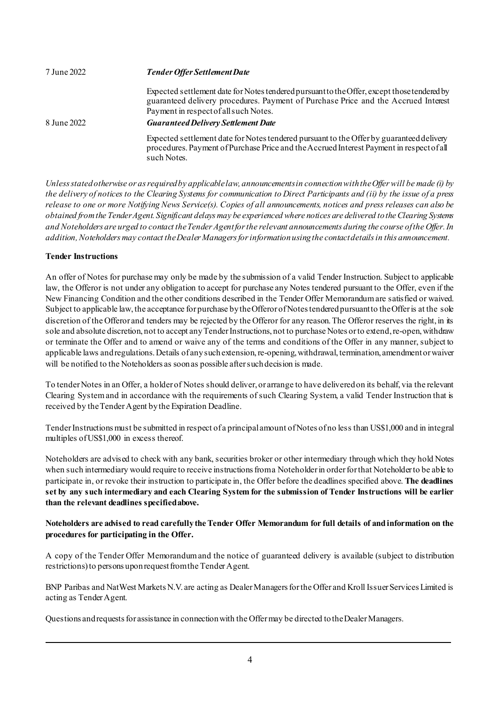| 7 June 2022 | <b>Tender Offer Settlement Date</b>                                                                                                                                                                                        |  |  |  |  |
|-------------|----------------------------------------------------------------------------------------------------------------------------------------------------------------------------------------------------------------------------|--|--|--|--|
|             | Expected settlement date for Notes tendered pursuant to the Offer, except those tendered by<br>guaranteed delivery procedures. Payment of Purchase Price and the Accrued Interest<br>Payment in respect of all such Notes. |  |  |  |  |
| 8 June 2022 | <b>Guaranteed Delivery Settlement Date</b>                                                                                                                                                                                 |  |  |  |  |
|             | Expected settlement date for Notes tendered pursuant to the Offer by guaranteed delivery<br>procedures. Payment of Purchase Price and the Accrued Interest Payment in respect of all<br>such Notes.                        |  |  |  |  |

*Unless stated otherwise or as required by applicable law, announcements in connection with the Offer will be made (i) by the delivery of notices to the Clearing Systems for communication to Direct Participants and (ii) by the issue of a press release to one or more Notifying News Service(s). Copies of all announcements, notices and press releases can also be obtained from the Tender Agent. Significant delays may be experienced where notices are delivered to the Clearing Systems and Noteholders are urged to contact the Tender Agent for the relevant announcements during the course of the Offer. In addition, Noteholders may contact the Dealer Managers for information using the contact details in this announcement.*

# **Tender Instructions**

An offer of Notes for purchase may only be made by the submission of a valid Tender Instruction. Subject to applicable law, the Offeror is not under any obligation to accept for purchase any Notes tendered pursuant to the Offer, even if the New Financing Condition and the other conditions described in the Tender Offer Memorandum are satisfied or waived. Subject to applicable law, the acceptance for purchase by the Offeror of Notes tendered pursuant to the Offer is at the sole discretion of the Offeror and tenders may be rejected by the Offeror for any reason. The Offeror reserves the right, in its sole and absolute discretion, not to accept any Tender Instructions, not to purchase Notes or to extend, re-open, withdraw or terminate the Offer and to amend or waive any of the terms and conditions of the Offer in any manner, subject to applicable laws and regulations. Details of any such extension, re-opening, withdrawal, termination, amendment or waiver will be notified to the Noteholders as soon as possible after such decision is made.

To tender Notes in an Offer, a holder of Notes should deliver, or arrange to have delivered on its behalf, via the relevant Clearing System and in accordance with the requirements of such Clearing System, a valid Tender Instruction that is received by the Tender Agent by the Expiration Deadline.

Tender Instructions must be submitted in respect of a principal amount of Notes of no less than US\$1,000 and in integral multiples of US\$1,000 in excess thereof.

Noteholders are advised to check with any bank, securities broker or other intermediary through which they hold Notes when such intermediary would require to receive instructions from a Noteholder in order for that Noteholder to be able to participate in, or revoke their instruction to participate in, the Offer before the deadlines specified above. **The deadlines set by any such intermediary and each Clearing System for the submission of Tender Instructions will be earlier than the relevant deadlines specified above.**

# **Noteholders are advised to read carefully the Tender Offer Memorandum for full details of and information on the procedures for participating in the Offer.**

A copy of the Tender Offer Memorandum and the notice of guaranteed delivery is available (subject to distribution restrictions) to persons upon request from the Tender Agent.

BNP Paribas and NatWest Markets N.V. are acting as Dealer Managers for the Offer and Kroll IssuerServices Limited is acting as Tender Agent.

Questions and requests for assistance in connection with the Offermay be directed to the Dealer Managers.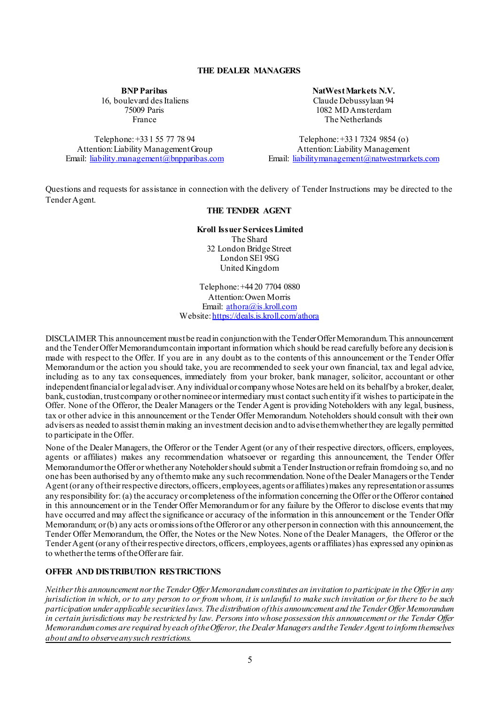#### **THE DEALER MANAGERS**

**BNP Paribas**

16, boulevard des Italiens 75009 Paris France

Telephone: +33 1 55 77 78 94 Attention: Liability Management Group Email: [liability.management@bnpparibas.com](mailto:liability.management@bnpparibas.com) **NatWest Markets N.V.**

Claude Debussylaan 94 1082 MD Amsterdam The Netherlands

Telephone: +331 7324 9854 (o) Attention: Liability Management Email: [liabilitymanagement@natwestmarkets.com](mailto:liabilitymanagement@natwestmarkets.com)

Questions and requests for assistance in connection with the delivery of Tender Instructions may be directed to the Tender Agent.

# **THE TENDER AGENT**

**Kroll Issuer Services Limited** The Shard

32 London Bridge Street London SE1 9SG United Kingdom

Telephone: +44 20 7704 0880 Attention: Owen Morris Email: [athora@is.kroll.com](mailto:athora@is.kroll.com) Website: <u>https://deals.is.kroll.com/athora</u>

DISCLAIMER This announcement must be read in conjunction with the Tender Offer Memorandum. This announcement and the Tender Offer Memorandum contain important information which should be read carefully before any decision is made with respect to the Offer. If you are in any doubt as to the contents of this announcement or the Tender Offer Memorandum or the action you should take, you are recommended to seek your own financial, tax and legal advice, including as to any tax consequences, immediately from your broker, bank manager, solicitor, accountant or other independent financial or legal adviser. Any individual or company whose Notes are held on its behalf by a broker, dealer, bank, custodian, trust company or other nominee or intermediary must contact such entity if it wishes to participate in the Offer. None of the Offeror, the Dealer Managers or the Tender Agent is providing Noteholders with any legal, business, tax or other advice in this announcement or the Tender Offer Memorandum. Noteholders should consult with their own advisers as needed to assist them in making an investment decision and to advise them whether they are legally permitted to participate in the Offer.

None of the Dealer Managers, the Offeror or the Tender Agent (or any of their respective directors, officers, employees, agents or affiliates) makes any recommendation whatsoever or regarding this announcement, the Tender Offer Memorandum or the Offer or whether any Noteholder should submit a Tender Instruction or refrain from doing so, and no one has been authorised by any of them to make any such recommendation. None of the Dealer Managers or the Tender Agent (or any of their respective directors, officers, employees, agents or affiliates) makes any representation or assumes any responsibility for: (a) the accuracy or completeness of the information concerning the Offer or the Offeror contained in this announcement or in the Tender Offer Memorandum or for any failure by the Offeror to disclose events that may have occurred and may affect the significance or accuracy of the information in this announcement or the Tender Offer Memorandum; or (b) any acts or omissions of the Offeror or any other person in connection with this announcement, the Tender Offer Memorandum, the Offer, the Notes or the New Notes. None of the Dealer Managers, the Offeror or the Tender Agent (or any of their respective directors, officers, employees, agents or affiliates) has expressed any opinion as to whether the terms of the Offer are fair.

#### **OFFER AND DISTRIBUTION RESTRICTIONS**

*Neither this announcement nor the Tender Offer Memorandum constitutes an invitation to participate in the Offer in any jurisdiction in which, or to any person to or from whom, it is unlawful to make such invitation or for there to be such participation under applicable securitieslaws.The distribution ofthis announcement and the Tender Offer Memorandum in certain jurisdictions may be restricted by law. Persons into whose possession this announcement or the Tender Offer Memorandum comes are required by each of the Offeror, the Dealer Managers and the Tender Agent to inform themselves about and to observe any such restrictions.*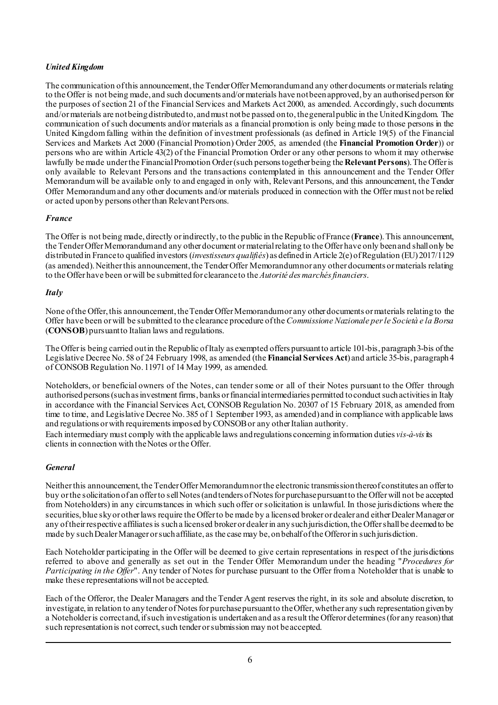# *United Kingdom*

The communication of this announcement, the Tender Offer Memorandum and any other documents or materials relating to the Offer is not being made, and such documents and/ormaterials have notbeen approved, by an authorisedperson for the purposes of section 21 of the Financial Services and Markets Act 2000, as amended. Accordingly, such documents and/or materials are not being distributed to, and must not be passed on to, the general public in the United Kingdom. The communication of such documents and/or materials as a financial promotion is only being made to those persons in the United Kingdom falling within the definition of investment professionals (as defined in Article 19(5) of the Financial Services and Markets Act 2000 (Financial Promotion) Order 2005, as amended (the **Financial Promotion Order**)) or persons who are within Article 43(2) of the Financial Promotion Order or any other persons to whom it may otherwise lawfully be made under the Financial Promotion Order (such persons together being the **Relevant Persons**). The Offer is only available to Relevant Persons and the transactions contemplated in this announcement and the Tender Offer Memorandum will be available only to and engaged in only with, Relevant Persons, and this announcement, the Tender Offer Memorandum and any other documents and/or materials produced in connection with the Offer must not be relied or acted upon by persons other than Relevant Persons.

# *France*

The Offer is not being made, directly or indirectly, to the public in the Republic of France (**France**). This announcement, the Tender Offer Memorandum and any other document or material relating to the Offer have only been and shall only be distributed in France to qualified investors (*investisseurs qualifiés*) as defined in Article 2(e) of Regulation (EU) 2017/1129 (as amended). Neither this announcement, the Tender Offer Memorandum nor any other documents or materials relating to the Offer have been or will be submitted for clearance to the *Autorité des marchés financiers*.

#### *Italy*

None of the Offer, this announcement, the Tender Offer Memorandum or any other documents or materials relating to the Offer have been or will be submitted to the clearance procedure of the *Commissione Nazionale per le Società e la Borsa*  (**CONSOB**) pursuant to Italian laws and regulations.

The Offer is being carried out in the Republic of Italy as exempted offers pursuant to article 101-bis, paragraph 3-bis of the Legislative Decree No. 58 of 24 February 1998, as amended (the **Financial Services Act**) and article 35-bis, paragraph 4 of CONSOB Regulation No. 11971 of 14 May 1999, as amended.

Noteholders, or beneficial owners of the Notes, can tender some or all of their Notes pursuant to the Offer through authorised persons (such as investment firms, banks or financial intermediaries permitted to conduct such activities in Italy in accordance with the Financial Services Act, CONSOB Regulation No. 20307 of 15 February 2018, as amended from time to time, and Legislative Decree No. 385 of 1 September 1993, as amended) and in compliance with applicable laws and regulations or with requirements imposed by CONSOB or any other Italian authority.

Each intermediary must comply with the applicable laws andregulations concerning information duties *vis-à-vis*its clients in connection with the Notes or the Offer.

#### *General*

Neither this announcement, the Tender Offer Memorandumnor the electronic transmission thereof constitutes an offer to buy orthe solicitationof an offerto sellNotes(andtenders ofNotesfor purchasepursuantto the Offerwill not be accepted from Noteholders) in any circumstances in which such offer or solicitation is unlawful. In those jurisdictions where the securities, blue sky or other laws require the Offerto be made by a licensed broker or dealer and either Dealer Manager or any of their respective affiliates is such a licensed broker or dealer in any such jurisdiction, the Offer shall be deemed to be made by such Dealer Manager or such affiliate, as the case may be, on behalf of the Offeror in such jurisdiction.

Each Noteholder participating in the Offer will be deemed to give certain representations in respect of the jurisdictions referred to above and generally as set out in the Tender Offer Memorandum under the heading "*Procedures for Participating in the Offer*". Any tender of Notes for purchase pursuant to the Offer from a Noteholder that is unable to make these representations will not be accepted.

Each of the Offeror, the Dealer Managers and the Tender Agent reserves the right, in its sole and absolute discretion, to investigate, in relation to any tender of Notes for purchase pursuant to the Offer, whether any such representation given by a Noteholder is correct and, if such investigation is undertaken and as a result the Offeror determines (for any reason) that such representation is not correct, such tender or submission may not be accepted.